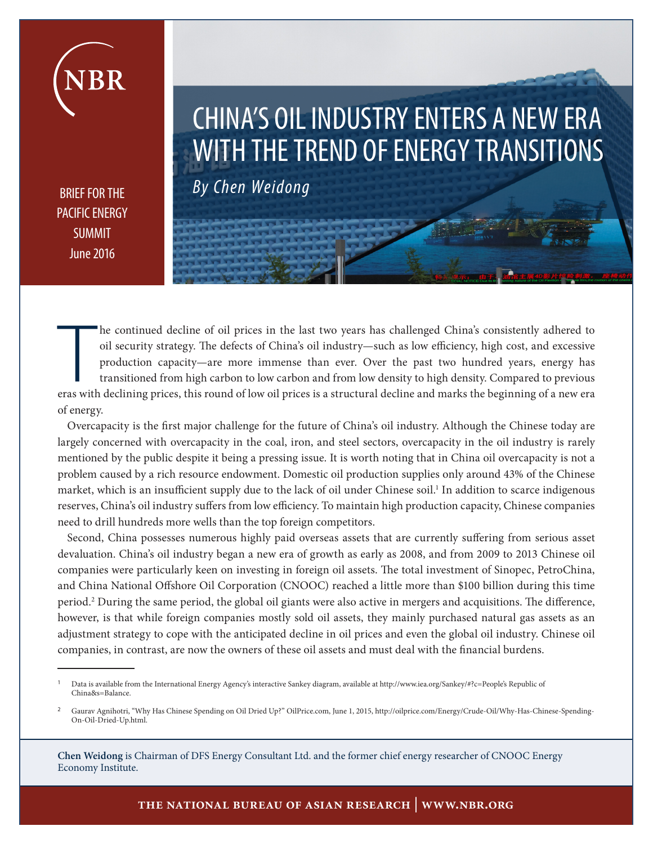BRIEF FOR THE PACIFIC ENERGY SUMMIT June 2016

## CHINA'S OIL INDUSTRY ENTERS A NEW ERA WITH THE TREND OF ENERGY TRANSITIONS *By Chen Weidong*

he continued decline of oil prices in the last two years has challenged China's consistently adhered to oil security strategy. The defects of China's oil industry—such as low efficiency, high cost, and excessive production oil security strategy. The defects of China's oil industry—such as low efficiency, high cost, and excessive production capacity—are more immense than ever. Over the past two hundred years, energy has transitioned from high carbon to low carbon and from low density to high density. Compared to previous eras with declining prices, this round of low oil prices is a structural decline and marks the beginning of a new era of energy.

Overcapacity is the first major challenge for the future of China's oil industry. Although the Chinese today are largely concerned with overcapacity in the coal, iron, and steel sectors, overcapacity in the oil industry is rarely mentioned by the public despite it being a pressing issue. It is worth noting that in China oil overcapacity is not a problem caused by a rich resource endowment. Domestic oil production supplies only around 43% of the Chinese market, which is an insufficient supply due to the lack of oil under Chinese soil.<sup>1</sup> In addition to scarce indigenous reserves, China's oil industry suffers from low efficiency. To maintain high production capacity, Chinese companies need to drill hundreds more wells than the top foreign competitors.

Second, China possesses numerous highly paid overseas assets that are currently suffering from serious asset devaluation. China's oil industry began a new era of growth as early as 2008, and from 2009 to 2013 Chinese oil companies were particularly keen on investing in foreign oil assets. The total investment of Sinopec, PetroChina, and China National Offshore Oil Corporation (CNOOC) reached a little more than \$100 billion during this time period.2 During the same period, the global oil giants were also active in mergers and acquisitions. The difference, however, is that while foreign companies mostly sold oil assets, they mainly purchased natural gas assets as an adjustment strategy to cope with the anticipated decline in oil prices and even the global oil industry. Chinese oil companies, in contrast, are now the owners of these oil assets and must deal with the financial burdens.

**Chen Weidong** is Chairman of DFS Energy Consultant Ltd. and the former chief energy researcher of CNOOC Energy Economy Institute.

<sup>1</sup>Data is available from the International Energy Agency's interactive Sankey diagram, available at http://www.iea.org/Sankey/#?c=People's Republic of China&s=Balance.

<sup>2</sup>Gaurav Agnihotri, "Why Has Chinese Spending on Oil Dried Up?" OilPrice.com, June 1, 2015, http://oilprice.com/Energy/Crude-Oil/Why-Has-Chinese-Spending-On-Oil-Dried-Up.html.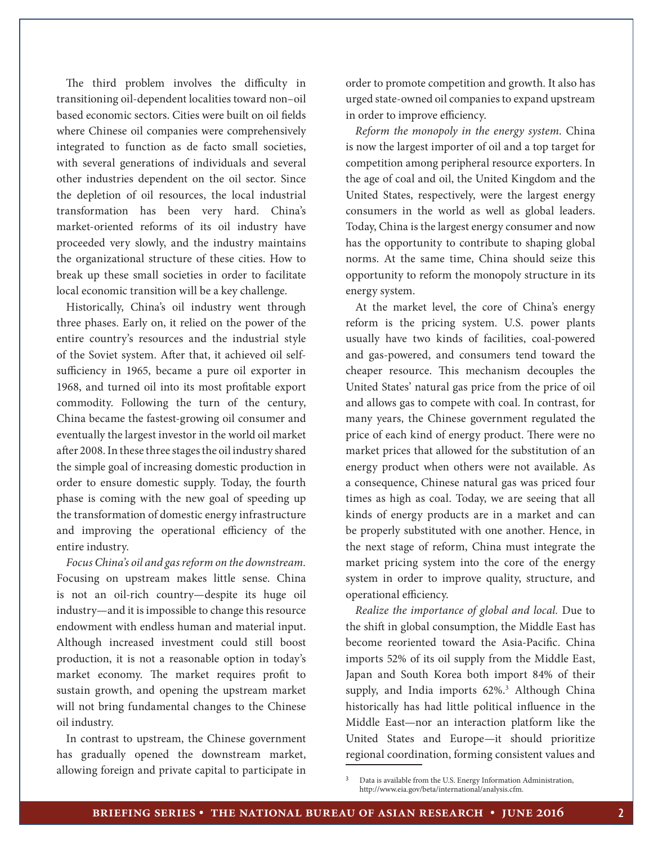The third problem involves the difficulty in transitioning oil-dependent localities toward non–oil based economic sectors. Cities were built on oil fields where Chinese oil companies were comprehensively integrated to function as de facto small societies, with several generations of individuals and several other industries dependent on the oil sector. Since the depletion of oil resources, the local industrial transformation has been very hard. China's market-oriented reforms of its oil industry have proceeded very slowly, and the industry maintains the organizational structure of these cities. How to break up these small societies in order to facilitate local economic transition will be a key challenge.

Historically, China's oil industry went through three phases. Early on, it relied on the power of the entire country's resources and the industrial style of the Soviet system. After that, it achieved oil selfsufficiency in 1965, became a pure oil exporter in 1968, and turned oil into its most profitable export commodity. Following the turn of the century, China became the fastest-growing oil consumer and eventually the largest investor in the world oil market after 2008. In these three stages the oil industry shared the simple goal of increasing domestic production in order to ensure domestic supply. Today, the fourth phase is coming with the new goal of speeding up the transformation of domestic energy infrastructure and improving the operational efficiency of the entire industry.

*Focus China's oil and gas reform on the downstream.* Focusing on upstream makes little sense. China is not an oil-rich country—despite its huge oil industry—and it is impossible to change this resource endowment with endless human and material input. Although increased investment could still boost production, it is not a reasonable option in today's market economy. The market requires profit to sustain growth, and opening the upstream market will not bring fundamental changes to the Chinese oil industry.

In contrast to upstream, the Chinese government has gradually opened the downstream market, allowing foreign and private capital to participate in order to promote competition and growth. It also has urged state-owned oil companies to expand upstream in order to improve efficiency.

*Reform the monopoly in the energy system.* China is now the largest importer of oil and a top target for competition among peripheral resource exporters. In the age of coal and oil, the United Kingdom and the United States, respectively, were the largest energy consumers in the world as well as global leaders. Today, China is the largest energy consumer and now has the opportunity to contribute to shaping global norms. At the same time, China should seize this opportunity to reform the monopoly structure in its energy system.

At the market level, the core of China's energy reform is the pricing system. U.S. power plants usually have two kinds of facilities, coal-powered and gas-powered, and consumers tend toward the cheaper resource. This mechanism decouples the United States' natural gas price from the price of oil and allows gas to compete with coal. In contrast, for many years, the Chinese government regulated the price of each kind of energy product. There were no market prices that allowed for the substitution of an energy product when others were not available. As a consequence, Chinese natural gas was priced four times as high as coal. Today, we are seeing that all kinds of energy products are in a market and can be properly substituted with one another. Hence, in the next stage of reform, China must integrate the market pricing system into the core of the energy system in order to improve quality, structure, and operational efficiency.

*Realize the importance of global and local.* Due to the shift in global consumption, the Middle East has become reoriented toward the Asia-Pacific. China imports 52% of its oil supply from the Middle East, Japan and South Korea both import 84% of their supply, and India imports 62%.<sup>3</sup> Although China historically has had little political influence in the Middle East—nor an interaction platform like the United States and Europe—it should prioritize regional coordination, forming consistent values and

Data is available from the U.S. Energy Information Administration, http://www.eia.gov/beta/international/analysis.cfm.